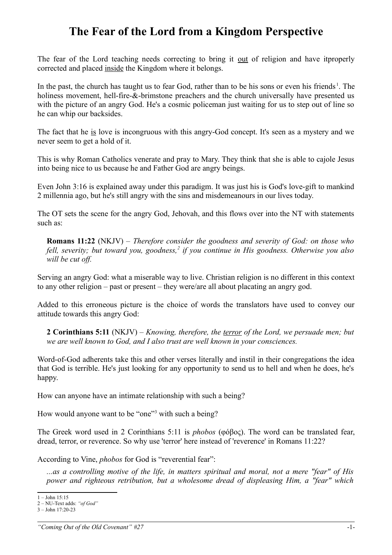## **The Fear of the Lord from a Kingdom Perspective**

The fear of the Lord teaching needs correcting to bring it <u>out</u> of religion and have itproperly corrected and placed inside the Kingdom where it belongs.

In the past, the church has taught us to fear God, rather than to be his sons or even his friends<sup>[1](#page-0-0)</sup>. The holiness movement, hell-fire-&-brimstone preachers and the church universally have presented us with the picture of an angry God. He's a cosmic policeman just waiting for us to step out of line so he can whip our backsides.

The fact that he is love is incongruous with this angry-God concept. It's seen as a mystery and we never seem to get a hold of it.

This is why Roman Catholics venerate and pray to Mary. They think that she is able to cajole Jesus into being nice to us because he and Father God are angry beings.

Even John 3:16 is explained away under this paradigm. It was just his is God's love-gift to mankind 2 millennia ago, but he's still angry with the sins and misdemeanours in our lives today.

The OT sets the scene for the angry God, Jehovah, and this flows over into the NT with statements such as:

**Romans 11:22** (NKJV) – *Therefore consider the goodness and severity of God: on those who fell, severity; but toward you, goodness,[2](#page-0-1) if you continue in His goodness. Otherwise you also will be cut off.* 

Serving an angry God: what a miserable way to live. Christian religion is no different in this context to any other religion – past or present – they were/are all about placating an angry god.

Added to this erroneous picture is the choice of words the translators have used to convey our attitude towards this angry God:

**2 Corinthians 5:11** (NKJV) – *Knowing, therefore, the terror of the Lord, we persuade men; but we are well known to God, and I also trust are well known in your consciences.*

Word-of-God adherents take this and other verses literally and instil in their congregations the idea that God is terrible. He's just looking for any opportunity to send us to hell and when he does, he's happy.

How can anyone have an intimate relationship with such a being?

How would anyone want to be "one"<sup>[3](#page-0-2)</sup> with such a being?

The Greek word used in 2 Corinthians 5:11 is *phobos* (φόβος). The word can be translated fear, dread, terror, or reverence. So why use 'terror' here instead of 'reverence' in Romans 11:22?

According to Vine, *phobos* for God is "reverential fear":

*...as a controlling motive of the life, in matters spiritual and moral, not a mere "fear" of His power and righteous retribution, but a wholesome dread of displeasing Him, a "fear" which*

<span id="page-0-0"></span><sup>1 –</sup> John 15:15

<span id="page-0-1"></span><sup>2 –</sup> NU-Text adds: *"of God"*

<span id="page-0-2"></span><sup>3 –</sup> John 17:20-23

*<sup>&</sup>quot;Coming Out of the Old Covenant" #27* -1-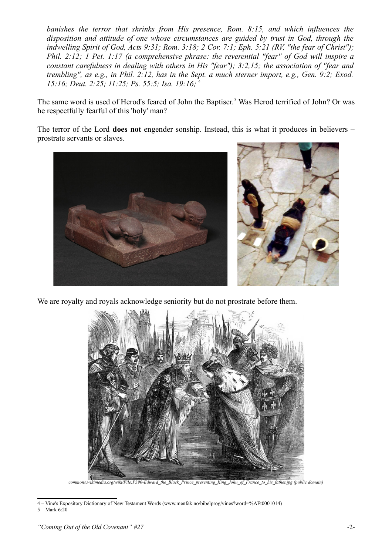*banishes the terror that shrinks from His presence, Rom. 8:15, and which influences the disposition and attitude of one whose circumstances are guided by trust in God, through the indwelling Spirit of God, Acts 9:31; Rom. 3:18; 2 Cor. 7:1; Eph. 5:21 (RV, "the fear of Christ"); Phil. 2:12; 1 Pet. 1:17 (a comprehensive phrase: the reverential "fear" of God will inspire a constant carefulness in dealing with others in His "fear"); 3:2,15; the association of "fear and trembling", as e.g., in Phil. 2:12, has in the Sept. a much sterner import, e.g., Gen. 9:2; Exod. 15:16; Deut. 2:25; 11:25; Ps. 55:5; Isa. 19:16;* [4](#page-1-0)

The same word is used of Herod's feared of John the Baptiser.<sup>[5](#page-1-1)</sup> Was Herod terrified of John? Or was he respectfully fearful of this 'holy' man?

The terror of the Lord **does not** engender sonship. Instead, this is what it produces in believers – prostrate servants or slaves.



We are royalty and royals acknowledge seniority but do not prostrate before them.



<span id="page-1-1"></span><span id="page-1-0"></span>4 – Vine's Expository Dictionary of New Testament Words (www.menfak.no/bibelprog/vines?word=%AFt0001014) 5 – Mark 6:20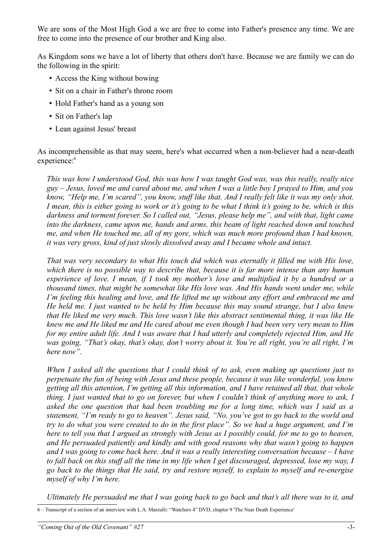We are sons of the Most High God a we are free to come into Father's presence any time. We are free to come into the presence of our brother and King also.

As Kingdom sons we have a lot of liberty that others don't have. Because we are family we can do the following in the spirit:

- Access the King without bowing
- Sit on a chair in Father's throne room
- Hold Father's hand as a young son
- Sit on Father's lap
- Lean against Jesus' breast

As incomprehensible as that may seem, here's what occurred when a non-believer had a near-death experience:<sup>[6](#page-2-0)</sup>

*This was how I understood God, this was how I was taught God was, was this really, really nice guy – Jesus, loved me and cared about me, and when I was a little boy I prayed to Him, and you know, "Help me, I'm scared", you know, stuff like that. And I really felt like it was my only shot. I mean, this is either going to work or it's going to be what I think it's going to be, which is this darkness and torment forever. So I called out, "Jesus, please help me", and with that, light came into the darkness, came upon me, hands and arms, this beam of light reached down and touched me, and when He touched me, all of my gore, which was much more profound than I had known, it was very gross, kind of just slowly dissolved away and I became whole and intact.*

*That was very secondary to what His touch did which was eternally it filled me with His love, which there is no possible way to describe that, because it is far more intense than any human experience of love. I mean, if I took my mother's love and multiplied it by a hundred or a thousand times, that might be somewhat like His love was. And His hands went under me, while I'm feeling this healing and love, and He lifted me up without any effort and embraced me and He held me. I just wanted to be held by Him because this may sound strange, but I also knew that He liked me very much. This love wasn't like this abstract sentimental thing, it was like He knew me and He liked me and He cared about me even though I had been very very mean to Him for my entire adult life. And I was aware that I had utterly and completely rejected Him, and He was going, "That's okay, that's okay, don't worry about it. You're all right, you're all right, I'm here now".*

*When I asked all the questions that I could think of to ask, even making up questions just to perpetuate the fun of being with Jesus and these people, because it was like wonderful, you know getting all this attention, I'm getting all this information, and I have retained all that, that whole thing. I just wanted that to go on forever, but when I couldn't think of anything more to ask, I asked the one question that had been troubling me for a long time, which was I said as a statement, "I'm ready to go to heaven". Jesus said, "No, you've got to go back to the world and try to do what you were created to do in the first place". So we had a huge argument, and I'm here to tell you that I argued as strongly with Jesus as I possibly could, for me to go to heaven, and He persuaded patiently and kindly and with good reasons why that wasn't going to happen and I was going to come back here. And it was a really interesting conversation because – I have to fall back on this stuff all the time in my life when I get discouraged, depressed, lose my way, I go back to the things that He said, try and restore myself, to explain to myself and re-energise myself of why I'm here.* 

*Ultimately He persuaded me that I was going back to go back and that's all there was to it, and*

<span id="page-2-0"></span><sup>6 –</sup> Transcript of a section of an interview with L.A. Marzulli: "Watchers 4" DVD, chapter 9 'The Near Death Experience'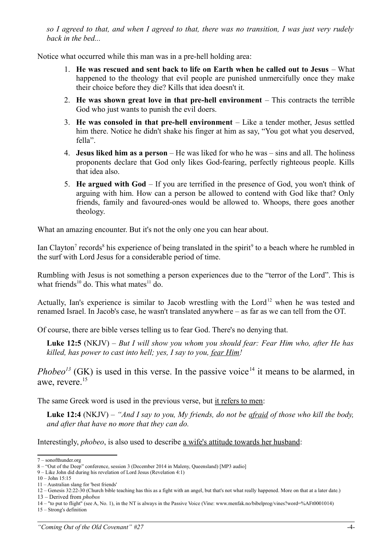*so I agreed to that, and when I agreed to that, there was no transition, I was just very rudely back in the bed...*

Notice what occurred while this man was in a pre-hell holding area:

- 1. **He was rescued and sent back to life on Earth when he called out to Jesus** What happened to the theology that evil people are punished unmercifully once they make their choice before they die? Kills that idea doesn't it.
- 2. **He was shown great love in that pre-hell environment** This contracts the terrible God who just wants to punish the evil doers.
- 3. **He was consoled in that pre-hell environment** Like a tender mother, Jesus settled him there. Notice he didn't shake his finger at him as say, "You got what you deserved, fella".
- 4. **Jesus liked him as a person** He was liked for who he was sins and all. The holiness proponents declare that God only likes God-fearing, perfectly righteous people. Kills that idea also.
- 5. **He argued with God** If you are terrified in the presence of God, you won't think of arguing with him. How can a person be allowed to contend with God like that? Only friends, family and favoured-ones would be allowed to. Whoops, there goes another theology.

What an amazing encounter. But it's not the only one you can hear about.

Ian Clayton<sup>[7](#page-3-0)</sup> records<sup>[8](#page-3-1)</sup> his experience of being translated in the spirit<sup>[9](#page-3-2)</sup> to a beach where he rumbled in the surf with Lord Jesus for a considerable period of time.

Rumbling with Jesus is not something a person experiences due to the "terror of the Lord". This is what friends<sup>[10](#page-3-3)</sup> do. This what mates<sup>[11](#page-3-4)</sup> do.

Actually, Ian's experience is similar to Jacob wrestling with the Lord<sup>[12](#page-3-5)</sup> when he was tested and renamed Israel. In Jacob's case, he wasn't translated anywhere – as far as we can tell from the OT.

Of course, there are bible verses telling us to fear God. There's no denying that.

**Luke 12:5** (NKJV) – *But I will show you whom you should fear: Fear Him who, after He has killed, has power to cast into hell; yes, I say to you, fear Him!*

*Phobeo<sup>[13](#page-3-6)</sup>* (GK) is used in this verse. In the passive voice<sup>[14](#page-3-7)</sup> it means to be alarmed, in awe, revere.<sup>[15](#page-3-8)</sup>

The same Greek word is used in the previous verse, but it refers to men:

**Luke 12:4** (NKJV) – *"And I say to you, My friends, do not be afraid of those who kill the body, and after that have no more that they can do.* 

Interestingly, *phobeo*, is also used to describe a wife's attitude towards her husband:

<span id="page-3-0"></span><sup>7 –</sup> sonofthunder.org

<span id="page-3-1"></span><sup>8 – &</sup>quot;Out of the Deep" conference, session 3 (December 2014 in Maleny, Queensland) [MP3 audio]

<span id="page-3-2"></span><sup>9 –</sup> Like John did during his revelation of Lord Jesus (Revelation 4:1)

<span id="page-3-3"></span><sup>10 –</sup> John 15:15

<span id="page-3-5"></span><span id="page-3-4"></span><sup>11 –</sup> Australian slang for 'best friends' 12 – Genesis 32:22-30 (Church bible teaching has this as a fight with an angel, but that's not what really happened. More on that at a later date.)

<span id="page-3-6"></span><sup>13 –</sup> Derived from *phobos*

<span id="page-3-7"></span><sup>14 – &</sup>quot;to put to flight" (see A, No. 1), in the NT is always in the Passive Voice (Vine: www.menfak.no/bibelprog/vines?word=%AFt0001014)

<span id="page-3-8"></span><sup>15 –</sup> Strong's definition